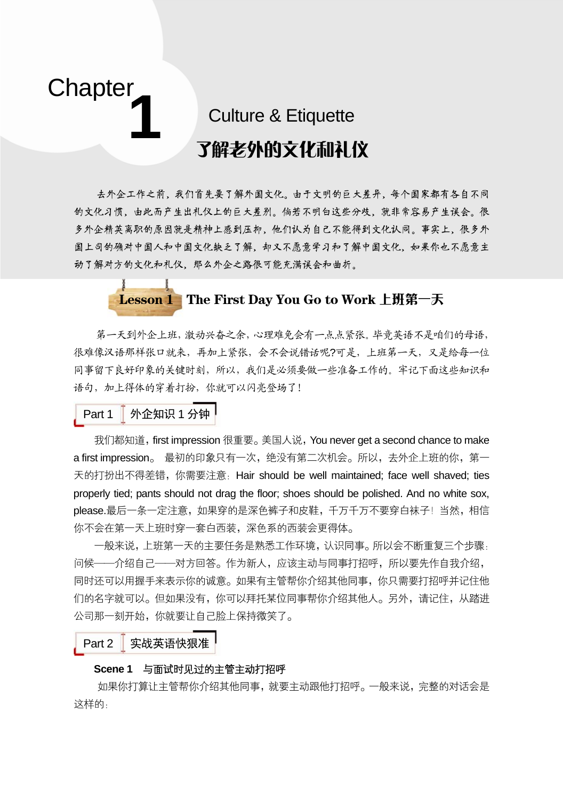# **Chapter 1**

## Culture & Etiquette 了解老外的文化和礼仪

去外企工作之前,我们首先要了解外国文化。由于文明的巨大差异,每个国家都有各自不同 的文化习惯,由此而产生出礼仪上的巨大差别。倘若不明白这些分歧,就非常容易产生误会。很 多外企精英离职的原因就是精神上感到压抑,他们认为自己不能得到文化认同。事实上,很多外 国上司的确对中国人和中国文化缺乏了解,却又不愿意学习和了解中国文化,如果你也不愿意主 动了解对方的文化和礼仪,那么外企之路很可能充满误会和曲折。



第一天到外企上班,激动兴奋之余,心理难免会有一点点紧张。毕竟英语不是咱们的母语, 很难像汉语那样张口就来,再加上紧张,会不会说错话呢?可是,上班第一天,又是给每一位 同事留下良好印象的关键时刻,所以,我们是必须要做一些准备工作的。牢记下面这些知识和 语句,加上得体的穿着打扮,你就可以闪亮登场了!

### Part 1 外企知识 1 分钟

我们都知道, first impression 很重要。 美国人说, You never get a second chance to make a first impression。 最初的印象只有一次,绝没有第二次机会。所以,去外企上班的你,第一 天的打扮出不得差错,你需要注意:Hair should be well maintained; face well shaved; ties properly tied; pants should not drag the floor; shoes should be polished. And no white sox, please.最后一条一定注意,如果穿的是深色裤子和皮鞋,千万千万不要穿白袜子!当然,相信 你不会在第一天上班时穿一套白西装,深色系的西装会更得体。

一般来说,上班第一天的主要任务是熟悉工作环境,认识同事。所以会不断重复三个步骤: 问候——介绍自己——对方回答。作为新人,应该主动与同事打招呼,所以要先作自我介绍, 同时还可以用握手来表示你的诚意。如果有主管帮你介绍其他同事,你只需要打招呼并记住他 们的名字就可以。但如果没有,你可以拜托某位同事帮你介绍其他人。另外,请记住,从踏进 公司那一刻开始,你就要让自己脸上保持微笑了。

Part 2 实战英语快狠准

#### **Scene 1** 与面试时见过的主管主动打招呼

如果你打算让主管帮你介绍其他同事,就要主动跟他打招呼。一般来说,完整的对话会是 这样的: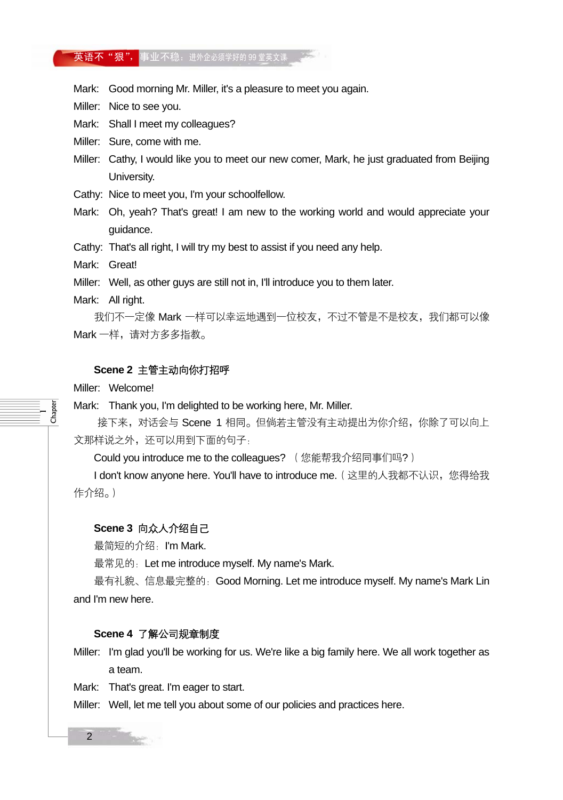#### 英语不"狠",事业不稳:进外企必须学好的 99 堂英文课

Mark: Good morning Mr. Miller, it's a pleasure to meet you again.

Miller: Nice to see you.

Mark: Shall I meet my colleagues?

Miller: Sure, come with me.

Miller: Cathy, I would like you to meet our new comer, Mark, he just graduated from Beijing University.

Cathy: Nice to meet you, I'm your schoolfellow.

Mark: Oh, yeah? That's great! I am new to the working world and would appreciate your guidance.

Cathy: That's all right, I will try my best to assist if you need any help.

Mark: Great!

Miller: Well, as other guys are still not in, I'll introduce you to them later.

Mark: All right.

我们不一定像 Mark 一样可以幸运地遇到一位校友,不过不管是不是校友,我们都可以像 Mark 一样,请对方多多指教。

#### **Scene 2** 主管主动向你打招呼

Miller: Welcome!

 $\overline{\phantom{0}}$ Chapter Mark: Thank you, I'm delighted to be working here, Mr. Miller.

接下来, 对话会与 Scene 1 相同。但倘若主管没有主动提出为你介绍, 你除了可以向上 文那样说之外,还可以用到下面的句子:

Could you introduce me to the colleagues? (您能帮我介绍同事们吗?)

I don't know anyone here. You'll have to introduce me. (这里的人我都不认识,您得给我 作介绍。)

#### **Scene 3** 向众人介绍自己

最简短的介绍:I'm Mark.

最常见的: Let me introduce myself. My name's Mark.

最有礼貌、信息最完整的:Good Morning. Let me introduce myself. My name's Mark Lin and I'm new here.

#### **Scene 4** 了解公司规章制度

Miller: I'm glad you'll be working for us. We're like a big family here. We all work together as a team.

Mark: That's great. I'm eager to start.

Miller: Well, let me tell you about some of our policies and practices here.

2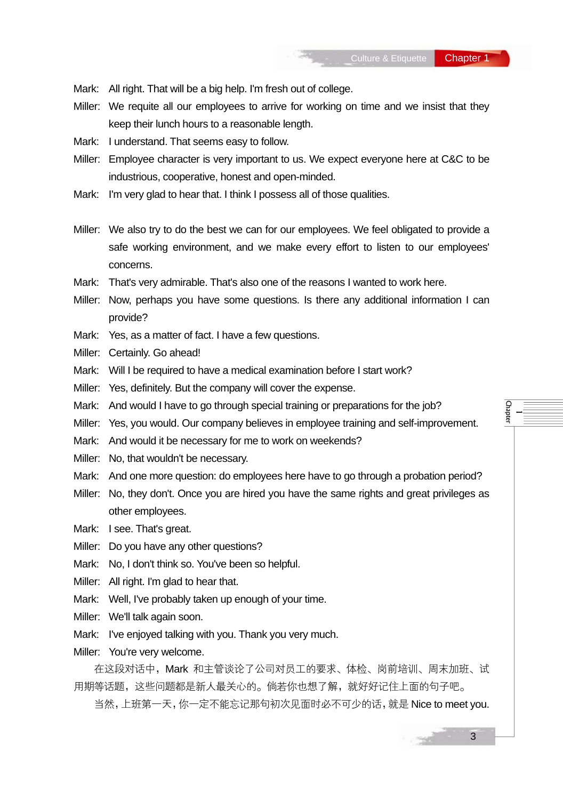- Mark: All right. That will be a big help. I'm fresh out of college.
- Miller: We requite all our employees to arrive for working on time and we insist that they keep their lunch hours to a reasonable length.
- Mark: I understand. That seems easy to follow.
- Miller: Employee character is very important to us. We expect everyone here at C&C to be industrious, cooperative, honest and open-minded.
- Mark: I'm very glad to hear that. I think I possess all of those qualities.
- Miller: We also try to do the best we can for our employees. We feel obligated to provide a safe working environment, and we make every effort to listen to our employees' concerns.
- Mark: That's very admirable. That's also one of the reasons I wanted to work here.
- Miller: Now, perhaps you have some questions. Is there any additional information I can provide?
- Mark: Yes, as a matter of fact. I have a few questions.
- Miller: Certainly. Go ahead!
- Mark: Will I be required to have a medical examination before I start work?
- Miller: Yes, definitely. But the company will cover the expense.
- Mark: And would I have to go through special training or preparations for the job?
- Miller: Yes, you would. Our company believes in employee training and self-improvement.
- Mark: And would it be necessary for me to work on weekends?
- Miller: No, that wouldn't be necessary.
- Mark: And one more question: do employees here have to go through a probation period?
- Miller: No, they don't. Once you are hired you have the same rights and great privileges as other employees.
- Mark: I see. That's great.
- Miller: Do you have any other questions?
- Mark: No, I don't think so. You've been so helpful.
- Miller: All right. I'm glad to hear that.
- Mark: Well, I've probably taken up enough of your time.
- Miller: We'll talk again soon.
- Mark: I've enjoyed talking with you. Thank you very much.
- Miller: You're very welcome.

在这段对话中,Mark 和主管谈论了公司对员工的要求、体检、岗前培训、周末加班、试 用期等话题,这些问题都是新人最关心的。倘若你也想了解,就好好记住上面的句子吧。

当然,上班第一天,你一定不能忘记那句初次见面时必不可少的话,就是 Nice to meet you.

—<br>— Chapter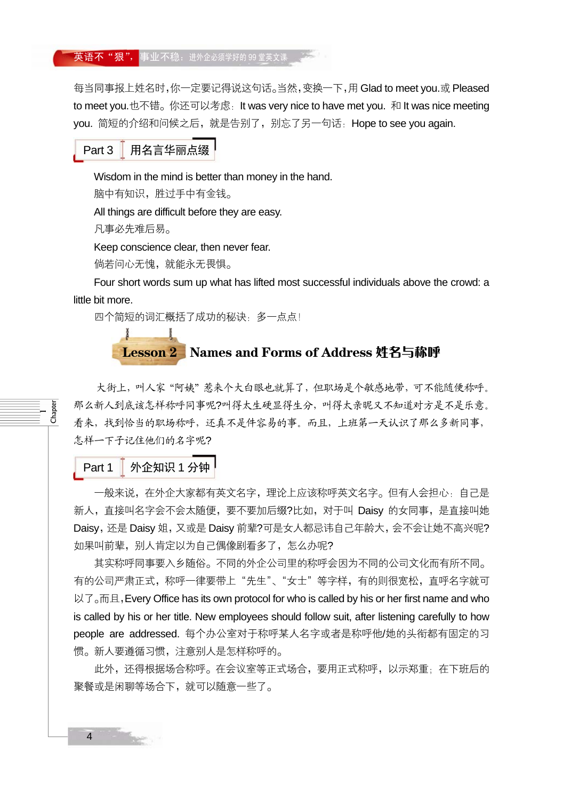#### <mark>英语不"狠",</mark>事业不稳:进外企必须学好的 99 堂英文课

每当同事报上姓名时,你一定要记得说这句话。当然,变换一下,用 Glad to meet you.或 Pleased to meet you.也不错。你还可以考虑:It was very nice to have met you. 和 It was nice meeting you.简短的介绍和问候之后,就是告别了,别忘了另一句话: Hope to see you again.

#### Part 3 用名言华丽点缀

Wisdom in the mind is better than money in the hand.

脑中有知识,胜过手中有金钱。

All things are difficult before they are easy.

凡事必先难后易。

Keep conscience clear, then never fear.

倘若问心无愧,就能永无畏惧。

Four short words sum up what has lifted most successful individuals above the crowd: a little bit more.

四个简短的词汇概括了成功的秘诀:多一点点!

## Lesson 2 Names and Forms of Address 姓名与称呼

大街上,叫人家"阿姨"惹来个大白眼也就算了,但职场是个敏感地带,可不能随便称呼。 那么新人到底该怎样称呼同事呢?叫得太生硬显得生分,叫得太亲昵又不知道对方是不是乐意。 看来,找到恰当的职场称呼,还真不是件容易的事。而且,上班第一天认识了那么多新同事, 怎样一下子记住他们的名字呢?

Part 1 | 外企知识 1 分钟

 $\overline{\phantom{0}}$ Chapter

> 一般来说,在外企大家都有英文名字,理论上应该称呼英文名字。但有人会担心:自己是 新人,直接叫名字会不会太随便,要不要加后缀?比如,对于叫 Daisy 的女同事,是直接叫她 Daisy,还是 Daisy 姐, 又或是 Daisy 前辈?可是女人都忌讳自己年龄大, 会不会让她不高兴呢? 如果叫前辈,别人肯定以为自己偶像剧看多了,怎么办呢?

> 其实称呼同事要入乡随俗。不同的外企公司里的称呼会因为不同的公司文化而有所不同。 有的公司严肃正式,称呼一律要带上"先生"、"女士"等字样,有的则很宽松,直呼名字就可 以了。而且, Every Office has its own protocol for who is called by his or her first name and who is called by his or her title. New employees should follow suit, after listening carefully to how people are addressed. 每个办公室对于称呼某人名字或者是称呼他/她的头衔都有固定的习 惯。新人要遵循习惯,注意别人是怎样称呼的。

> 此外,还得根据场合称呼。在会议室等正式场合,要用正式称呼,以示郑重;在下班后的 聚餐或是闲聊等场合下,就可以随意一些了。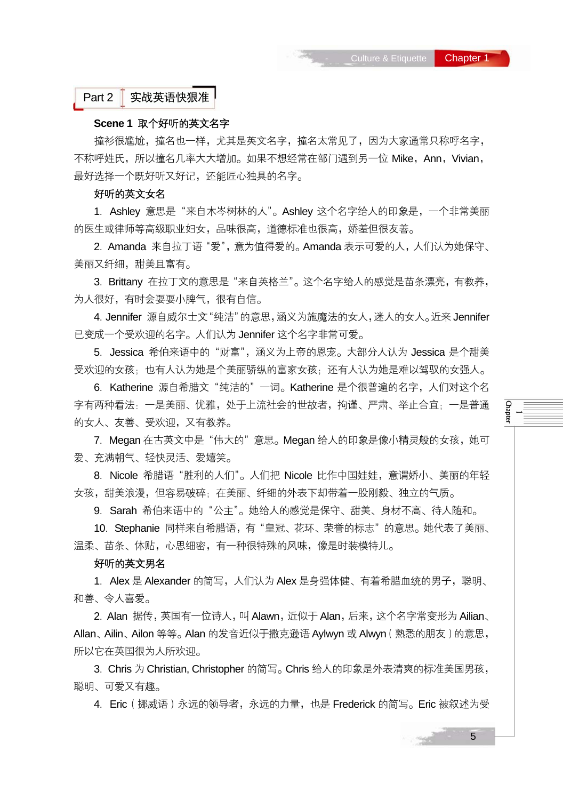Part 2 实战英语快狠准

#### **Scene 1** 取个好听的英文名字

撞衫很尴尬,撞名也一样,尤其是英文名字,撞名太常见了,因为大家通常只称呼名字, 不称呼姓氏,所以撞名几率大大增加。如果不想经常在部门遇到另一位 Mike, Ann, Vivian, 最好选择一个既好听又好记,还能匠心独具的名字。

#### 好听的英文女名

1. Ashley 意思是"来自木岑树林的人"。Ashley 这个名字给人的印象是,一个非常美丽 的医生或律师等高级职业妇女,品味很高,道德标准也很高,娇羞但很友善。

2.Amanda 来自拉丁语"爱",意为值得爱的。Amanda 表示可爱的人,人们认为她保守、 美丽又纤细,甜美且富有。

3.Brittany 在拉丁文的意思是"来自英格兰"。这个名字给人的感觉是苗条漂亮,有教养, 为人很好,有时会耍耍小脾气,很有自信。

4.Jennifer 源自威尔士文"纯洁"的意思,涵义为施魔法的女人,迷人的女人。近来 Jennifer 已变成一个受欢迎的名字。人们认为 Jennifer 这个名字非常可爱。

5. Jessica 希伯来语中的"财富", 涵义为上帝的恩宠。大部分人认为 Jessica 是个甜美 受欢迎的女孩;也有人认为她是个美丽骄纵的富家女孩;还有人认为她是难以驾驭的女强人。

6.Katherine 源自希腊文"纯洁的"一词。Katherine 是个很普遍的名字,人们对这个名 字有两种看法:一是美丽、优雅,处于上流社会的世故者,拘谨、严肃、举止合宜;一是普通 的女人、友善、受欢迎,又有教养。

7.Megan 在古英文中是"伟大的"意思。Megan 给人的印象是像小精灵般的女孩,她可 爱、充满朝气、轻快灵活、爱嬉笑。

8.Nicole 希腊语"胜利的人们"。人们把 Nicole 比作中国娃娃,意谓娇小、美丽的年轻 女孩,甜美浪漫,但容易破碎;在美丽、纤细的外表下却带着一股刚毅、独立的气质。

9. Sarah 希伯来语中的"公主"。她给人的感觉是保守、甜美、身材不高、待人随和。

10.Stephanie 同样来自希腊语,有"皇冠、花环、荣誉的标志"的意思。她代表了美丽、 温柔、苗条、体贴,心思细密,有一种很特殊的风味,像是时装模特儿。

#### 好听的英文男名

1. Alex 是 Alexander 的简写,人们认为 Alex 是身强体健、有着希腊血统的男子,聪明、 和善、令人喜爱。

2. Alan 据传,英国有一位诗人,叫 Alawn,近似于 Alan,后来,这个名字常变形为 Ailian、 Allan、Ailin、Ailon 等等。Alan 的发音近似于撒克逊语 Aylwyn 或 Alwyn(熟悉的朋友)的意思, 所以它在英国很为人所欢迎。

3.Chris 为 Christian, Christopher 的简写。Chris 给人的印象是外表清爽的标准美国男孩, 聪明、可爱又有趣。

4.Eric(挪威语)永远的领导者,永远的力量,也是 Frederick 的简写。Eric 被叙述为受

—<br>— Chapter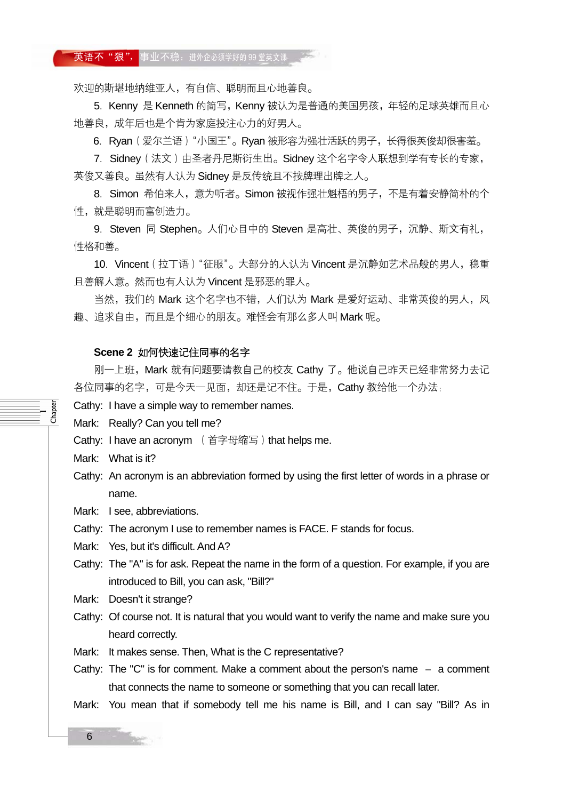#### 英语不"狠",事业不稳:进外企必须学好的 99 堂英文课

欢迎的斯堪地纳维亚人,有自信、聪明而且心地善良。

5. Kenny 是 Kenneth 的简写, Kenny 被认为是普通的美国男孩, 年轻的足球英雄而且心 地善良,成年后也是个肯为家庭投注心力的好男人。

6.Ryan(爱尔兰语)"小国王"。Ryan 被形容为强壮活跃的男子,长得很英俊却很害羞。

7. Sidney (法文)由圣者丹尼斯衍生出。Sidney 这个名字令人联想到学有专长的专家, 英俊又善良。虽然有人认为 Sidney 是反传统且不按牌理出牌之人。

8.Simon 希伯来人,意为听者。Simon 被视作强壮魁梧的男子,不是有着安静简朴的个 性,就是聪明而富创造力。

9. Steven 同 Stephen。人们心目中的 Steven 是高壮、英俊的男子,沉静、斯文有礼, 性格和善。

10. Vincent (拉丁语) "征服"。大部分的人认为 Vincent 是沉静如艺术品般的男人,稳重 且善解人意。然而也有人认为 Vincent 是邪恶的罪人。

当然,我们的 Mark 这个名字也不错, 人们认为 Mark 是爱好运动、非常英俊的男人, 风 趣、追求自由,而且是个细心的朋友。难怪会有那么多人叫 Mark 呢。

#### **Scene 2** 如何快速记住同事的名字

刚一上班, Mark 就有问题要请教自己的校友 Cathy 了。他说自己昨天已经非常努力去记 各位同事的名字,可是今天一见面, 却还是记不住。于是, Cathy 教给他一个办法:

Cathy: I have a simple way to remember names.

Mark: Really? Can you tell me?

Cathy: I have an acronym (首字母缩写) that helps me.

Mark: What is it?

 $\overline{\phantom{0}}$ Chapter

> Cathy: An acronym is an abbreviation formed by using the first letter of words in a phrase or name.

Mark: I see, abbreviations.

Cathy: The acronym I use to remember names is FACE. F stands for focus.

Mark: Yes, but it's difficult. And A?

Cathy: The "A" is for ask. Repeat the name in the form of a question. For example, if you are introduced to Bill, you can ask, "Bill?"

Mark: Doesn't it strange?

Cathy: Of course not. It is natural that you would want to verify the name and make sure you heard correctly.

Mark: It makes sense. Then, What is the C representative?

Cathy: The "C" is for comment. Make a comment about the person's name  $-$  a comment that connects the name to someone or something that you can recall later.

Mark: You mean that if somebody tell me his name is Bill, and I can say "Bill? As in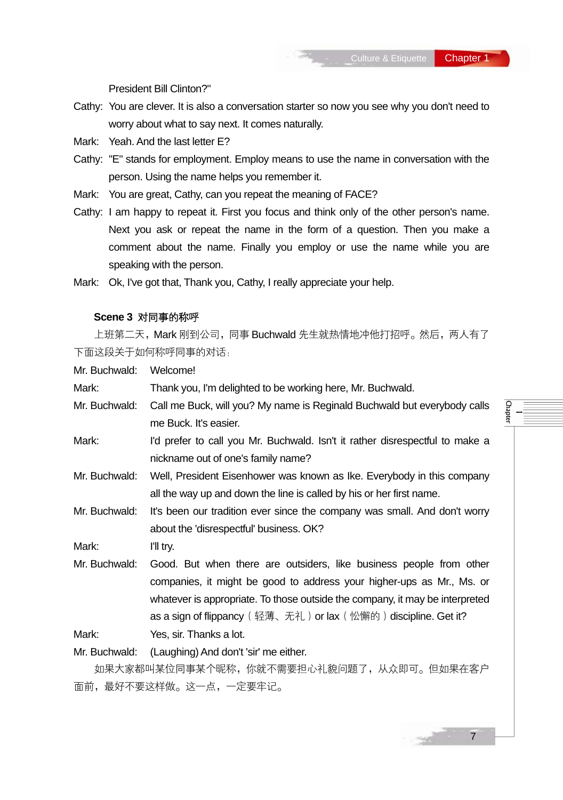—<br>— Chapter

President Bill Clinton?"

- Cathy: You are clever. It is also a conversation starter so now you see why you don't need to worry about what to say next. It comes naturally.
- Mark: Yeah. And the last letter E?
- Cathy: "E" stands for employment. Employ means to use the name in conversation with the person. Using the name helps you remember it.
- Mark: You are great, Cathy, can you repeat the meaning of FACE?
- Cathy: I am happy to repeat it. First you focus and think only of the other person's name. Next you ask or repeat the name in the form of a question. Then you make a comment about the name. Finally you employ or use the name while you are speaking with the person.
- Mark: Ok, I've got that, Thank you, Cathy, I really appreciate your help.

#### **Scene 3** 对同事的称呼

上班第二天, Mark 刚到公司, 同事 Buchwald 先生就热情地冲他打招呼。然后, 两人有了 下面这段关于如何称呼同事的对话:

Mr. Buchwald: Welcome!

Mark: Thank you, I'm delighted to be working here, Mr. Buchwald.

- Mr. Buchwald: Call me Buck, will you? My name is Reginald Buchwald but everybody calls me Buck. It's easier.
- Mark: I'd prefer to call you Mr. Buchwald. Isn't it rather disrespectful to make a nickname out of one's family name?
- Mr. Buchwald: Well, President Eisenhower was known as Ike. Everybody in this company all the way up and down the line is called by his or her first name.
- Mr. Buchwald: It's been our tradition ever since the company was small. And don't worry about the 'disrespectful' business. OK?

Mark: I'll try.

Mr. Buchwald: Good. But when there are outsiders, like business people from other companies, it might be good to address your higher-ups as Mr., Ms. or whatever is appropriate. To those outside the company, it may be interpreted as a sign of flippancy (轻薄、无礼) or lax (忪懈的) discipline. Get it?

Mark: Yes, sir. Thanks a lot.

Mr. Buchwald: (Laughing) And don't 'sir' me either.

如果大家都叫某位同事某个昵称,你就不需要担心礼貌问题了,从众即可。但如果在客户 面前,最好不要这样做。这一点,一定要牢记。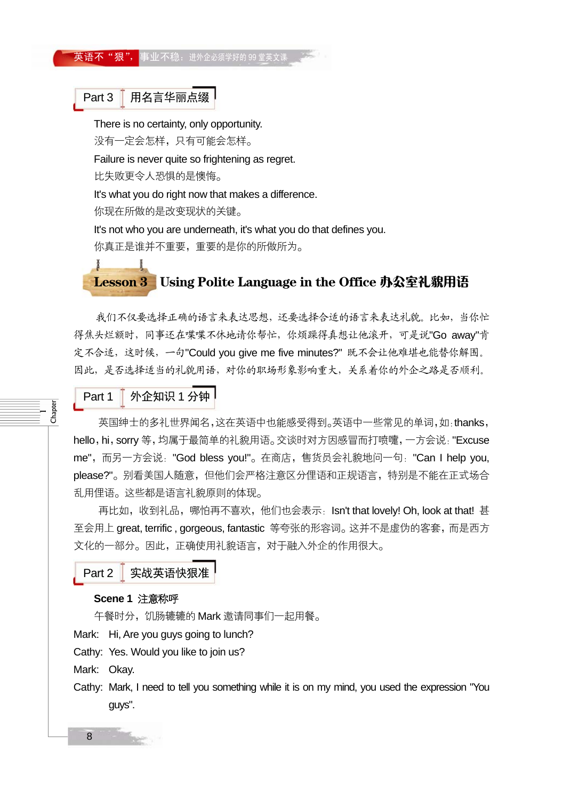#### 英语不"狠", 事业不稳: 进外企必须学好的 99 堂英文课

Part 3  $\overline{\phantom{a}}$  用名言华丽点缀

There is no certainty, only opportunity.

没有一定会怎样,只有可能会怎样。

Failure is never quite so frightening as regret.

比失败更令人恐惧的是懊悔。

ı

Å

It's what you do right now that makes a difference.

你现在所做的是改变现状的关键。

It's not who you are underneath, it's what you do that defines you.

你真正是谁并不重要,重要的是你的所做所为。

## Lesson 3 Using Polite Language in the Office 办公室礼貌用语

我们不仅要选择正确的语言来表达思想,还要选择合适的语言来表达礼貌。比如,当你忙 得焦头烂额时,同事还在喋喋不休地请你帮忙,你烦躁得真想让他滚开,可是说"Go away"肯 定不合适,这时候,一句"Could you give me five minutes?" 既不会让他难堪也能替你解围。 因此,是否选择适当的礼貌用语,对你的职场形象影响重大,关系着你的外企之路是否顺利。

## Part 1 外企知识 1 分钟

 $\overline{\phantom{0}}$ Chapter

英国绅士的多礼世界闻名,这在英语中也能感受得到。英语中一些常见的单词,如:thanks, hello, hi, sorry 等, 均属于最简单的礼貌用语。交谈时对方因感冒而打喷嚏, 一方会说: "Excuse me",而另一方会说:"God bless you!"。在商店,售货员会礼貌地问一句:"Can I help you, please?"。别看美国人随意,但他们会严格注意区分俚语和正规语言,特别是不能在正式场合 乱用俚语。这些都是语言礼貌原则的体现。

再比如,收到礼品,哪怕再不喜欢,他们也会表示: Isn't that lovely! Oh, look at that! 甚 至会用上 great, terrific , gorgeous, fantastic 等夸张的形容词。这并不是虚伪的客套,而是西方 文化的一部分。因此,正确使用礼貌语言,对于融入外企的作用很大。

Part 2 实战英语快狠准

#### **Scene 1** 注意称呼

午餐时分, 饥肠辘辘的 Mark 邀请同事们一起用餐。

Mark: Hi, Are you guys going to lunch?

Cathy: Yes. Would you like to join us?

Mark: Okay.

Cathy: Mark, I need to tell you something while it is on my mind, you used the expression "You guys".

8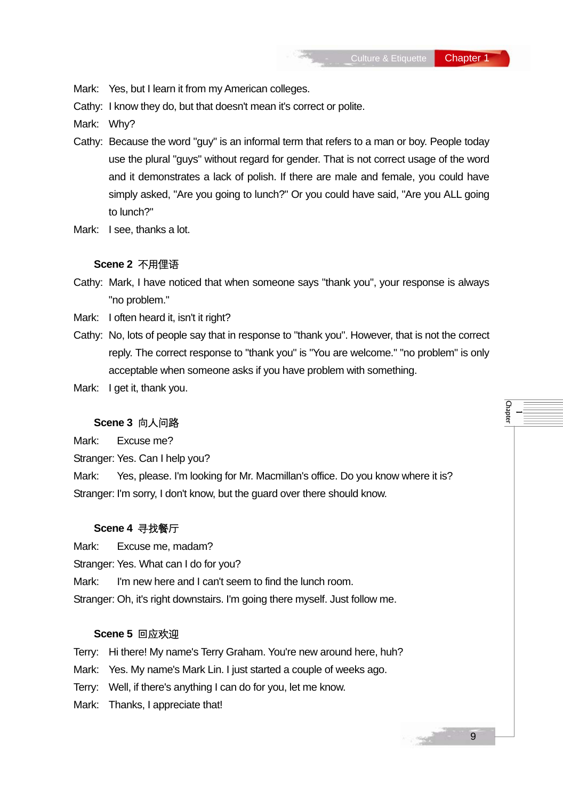Mark: Yes, but I learn it from my American colleges.

Cathy: I know they do, but that doesn't mean it's correct or polite.

Mark: Why?

- Cathy: Because the word "guy" is an informal term that refers to a man or boy. People today use the plural "guys" without regard for gender. That is not correct usage of the word and it demonstrates a lack of polish. If there are male and female, you could have simply asked, "Are you going to lunch?" Or you could have said, "Are you ALL going to lunch?"
- Mark: I see, thanks a lot.

#### **Scene 2** 不用俚语

- Cathy: Mark, I have noticed that when someone says "thank you", your response is always "no problem."
- Mark: I often heard it, isn't it right?
- Cathy: No, lots of people say that in response to "thank you". However, that is not the correct reply. The correct response to "thank you" is "You are welcome." "no problem" is only acceptable when someone asks if you have problem with something.
- Mark: I get it, thank you.

#### **Scene 3** 向人问路

Mark: Excuse me?

Stranger: Yes. Can I help you?

Mark: Yes, please. I'm looking for Mr. Macmillan's office. Do you know where it is? Stranger: I'm sorry, I don't know, but the guard over there should know.

#### **Scene 4** 寻找餐厅

Mark: Excuse me, madam?

Stranger: Yes. What can I do for you?

Mark: I'm new here and I can't seem to find the lunch room.

Stranger: Oh, it's right downstairs. I'm going there myself. Just follow me.

#### **Scene 5** 回应欢迎

Terry: Hi there! My name's Terry Graham. You're new around here, huh?

- Mark: Yes. My name's Mark Lin. I just started a couple of weeks ago.
- Terry: Well, if there's anything I can do for you, let me know.
- Mark: Thanks, I appreciate that!

—<br>— Chapter